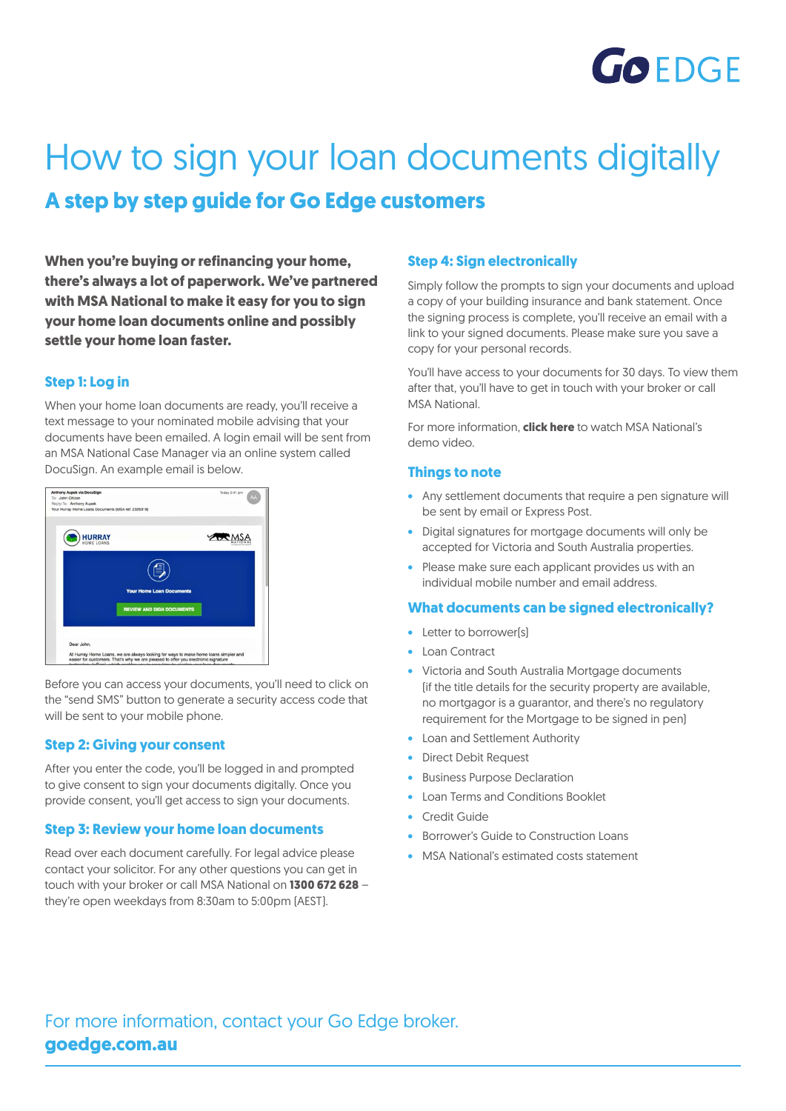

# How to sign your loan documents digitally **A step by step guide for Go Edge customers**

**When you're buying or refinancing your home, there's always a lot of paperwork. We've partnered with MSA National to make it easy for you to sign your home loan documents online and possibly settle your home loan faster.**

## **Step 1: Log in**

When your home loan documents are ready, you'll receive a text message to your nominated mobile advising that your documents have been emailed. A login email will be sent from an MSA National Case Manager via an online system called DocuSign. An example email is below.



Before you can access your documents, you'll need to click on the "send SMS" button to generate a security access code that will be sent to your mobile phone.

# **Step 2: Giving your consent**

After you enter the code, you'll be logged in and prompted to give consent to sign your documents digitally. Once you provide consent, you'll get access to sign your documents.

#### **Step 3: Review your home loan documents**

Read over each document carefully. For legal advice please contact your solicitor. For any other questions you can get in touch with your broker or call MSA National on **1300 672 628** – they're open weekdays from 8:30am to 5:00pm (AEST).

#### **Step 4: Sign electronically**

Simply follow the prompts to sign your documents and upload a copy of your building insurance and bank statement. Once the signing process is complete, you'll receive an email with a link to your signed documents. Please make sure you save a copy for your personal records.

You'll have access to your documents for 30 days. To view them after that, you'll have to get in touch with your broker or call MSA National.

For more information, **[click here](http://www.youtube.com/watch?time_continue=1&v=yMcjwxBxxFY)** to watch MSA National's demo video.

#### **Things to note**

- Any settlement documents that require a pen signature will be sent by email or Express Post.
- Digital signatures for mortgage documents will only be accepted for Victoria and South Australia properties.
- Please make sure each applicant provides us with an individual mobile number and email address.

#### **What documents can be signed electronically?**

- Letter to borrower(s)
- Loan Contract
- Victoria and South Australia Mortgage documents (if the title details for the security property are available, no mortgagor is a guarantor, and there's no regulatory requirement for the Mortgage to be signed in pen)
- Loan and Settlement Authority
- Direct Debit Request
- Business Purpose Declaration
- Loan Terms and Conditions Booklet
- **Credit Guide**
- Borrower's Guide to Construction Loans
- MSA National's estimated costs statement

For more information, contact your Go Edge broker. **[goedge.com.au](http://loanmarketgo.com.au)**